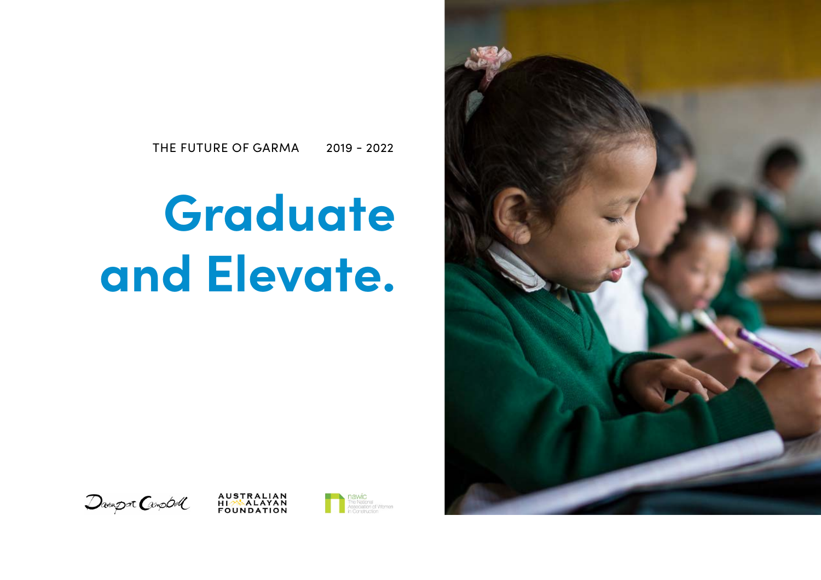# **Graduate and Elevate.**









## THE FUTURE OF GARMA 2019 - 2022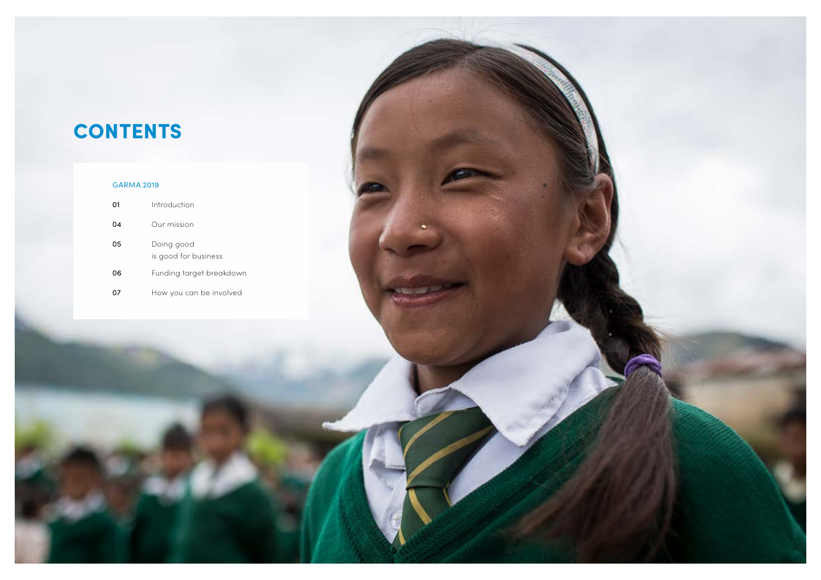

| 01 | Introduction                       |
|----|------------------------------------|
| 04 | Our mission                        |
| 05 | Doing good<br>is good for business |
| 06 | Funding target breakdown           |
|    | How you can be involved            |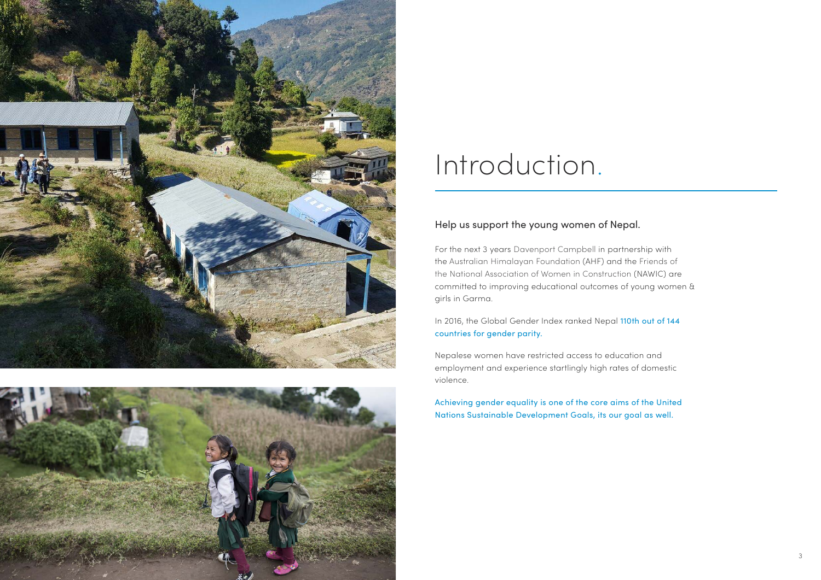### Help us support the young women of Nepal.

For the next 3 years Davenport Campbell in partnership with the Australian Himalayan Foundation (AHF) and the Friends of the National Association of Women in Construction (NAWIC) are committed to improving educational outcomes of young women & girls in Garma.

In 2016, the Global Gender Index ranked Nepal 110th out of 144 countries for gender parity.

Nepalese women have restricted access to education and employment and experience startlingly high rates of domestic violence.

Achieving gender equality is one of the core aims of the United Nations Sustainable Development Goals, its our goal as well.





## Introduction.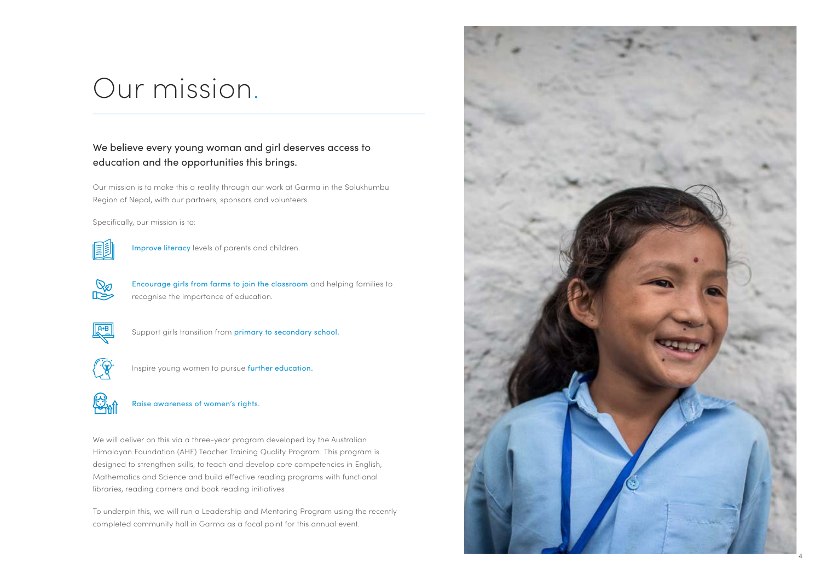## Our mission.

### We believe every young woman and girl deserves access to education and the opportunities this brings.

Our mission is to make this a reality through our work at Garma in the Solukhumbu Region of Nepal, with our partners, sponsors and volunteers.

Specifically, our mission is to:



Improve literacy levels of parents and children.



Encourage girls from farms to join the classroom and helping families to recognise the importance of education.



Support girls transition from primary to secondary school.



Inspire young women to pursue further education.



Raise awareness of women's rights.

We will deliver on this via a three-year program developed by the Australian Himalayan Foundation (AHF) Teacher Training Quality Program. This program is designed to strengthen skills, to teach and develop core competencies in English, Mathematics and Science and build effective reading programs with functional libraries, reading corners and book reading initiatives

To underpin this, we will run a Leadership and Mentoring Program using the recently completed community hall in Garma as a focal point for this annual event.

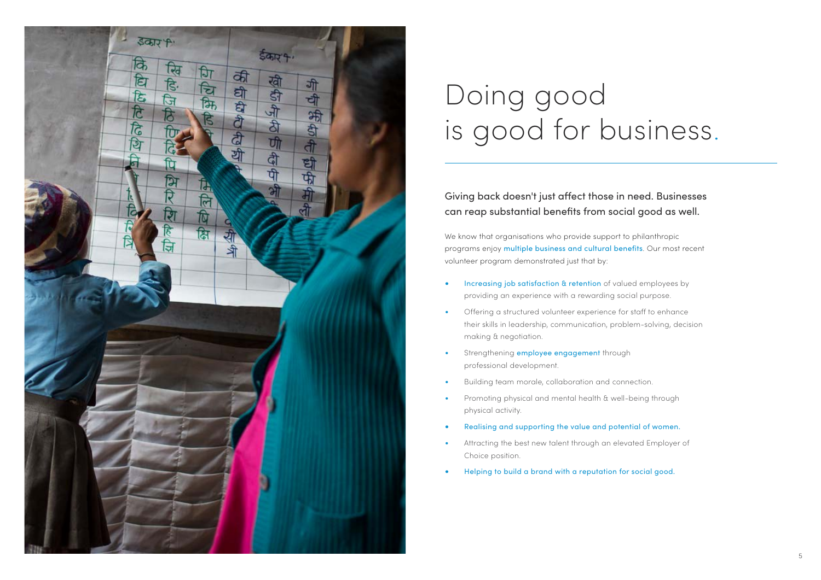

## Doing good is good for business.

## Giving back doesn't just affect those in need. Businesses can reap substantial benefits from social good as well.

We know that organisations who provide support to philanthropic programs enjoy multiple business and cultural benefits. Our most recent volunteer program demonstrated just that by:

- Increasing job satisfaction & retention of valued employees by providing an experience with a rewarding social purpose.
- Offering a structured volunteer experience for staff to enhance their skills in leadership, communication, problem-solving, decision making & negotiation.
- Strengthening **employee engagement** through professional development.
- Building team morale, collaboration and connection.
- Promoting physical and mental health & well-being through physical activity.
- Realising and supporting the value and potential of women.
- Attracting the best new talent through an elevated Employer of Choice position.
- Helping to build a brand with a reputation for social good.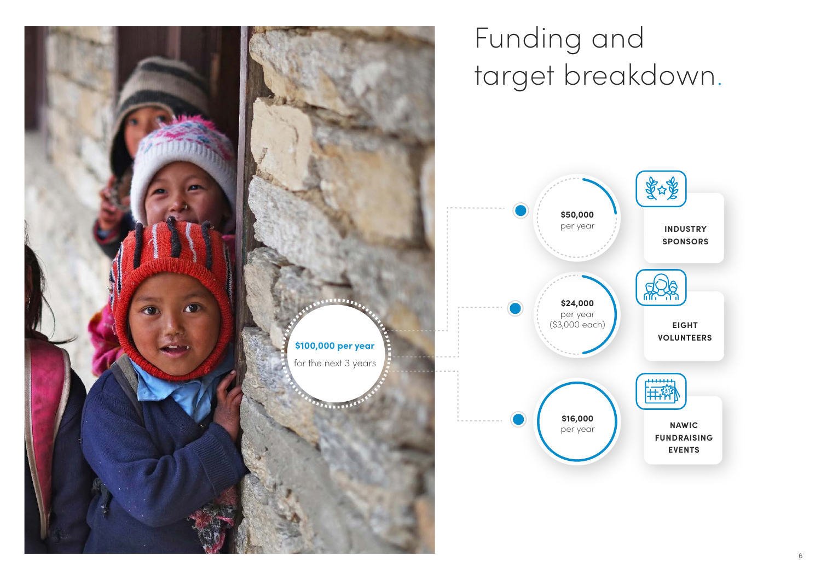



**INDUSTRY SPONSORS**



**NAWIC FUNDRAISING EVENTS**

**EIGHT VOLUNTEERS**